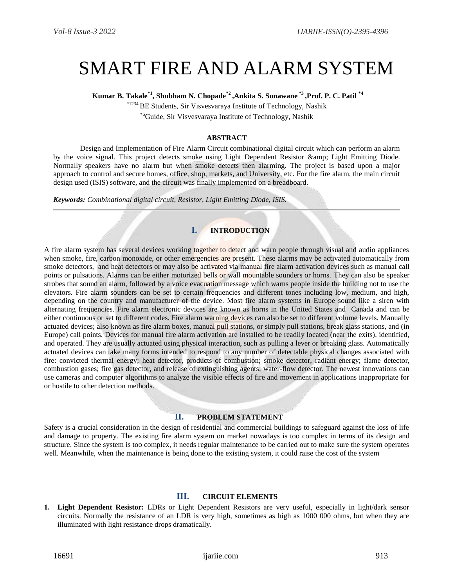# SMART FIRE AND ALARM SYSTEM

**Kumar B. Takale\*1, Shubham N. Chopade\*2 ,Ankita S. Sonawane \*3 ,Prof. P. C. Patil \*4**

\*1234 BE Students, Sir Visvesvaraya Institute of Technology, Nashik \*6Guide, Sir Visvesvaraya Institute of Technology, Nashik

## **ABSTRACT**

Design and Implementation of Fire Alarm Circuit combinational digital circuit which can perform an alarm by the voice signal. This project detects smoke using Light Dependent Resistor & amp; Light Emitting Diode. Normally speakers have no alarm but when smoke detects then alarming. The project is based upon a major approach to control and secure homes, office, shop, markets, and University, etc. For the fire alarm, the main circuit design used (ISIS) software, and the circuit was finally implemented on a breadboard.

*Keywords: Combinational digital circuit, Resistor, Light Emitting Diode, ISIS.*

# **I. INTRODUCTION**

A fire alarm system has several devices working together to detect and warn people through visual and audio appliances when [smoke,](https://en.wikipedia.org/wiki/Smoke) [fire,](https://en.wikipedia.org/wiki/Fire) [carbon m](https://en.wikipedia.org/wiki/Fire)onoxide, or other [emergencies](https://en.wikipedia.org/wiki/Emergency) are present. These alarms may be activated automatically from [smoke detectors,](https://en.wikipedia.org/wiki/Smoke_detector) and [heat detectors](https://en.wikipedia.org/wiki/Heat_detector) or may also be activated via [manual fire alarm activation](https://en.wikipedia.org/wiki/Manual_fire_alarm_activation) devices such as manual call points or pulsations. Alarms can be either motorized bells or wall mountable sounders or horns. They can also be [speaker](https://en.wikipedia.org/w/index.php?title=Speaker_strobe&action=edit&redlink=1)  [strobes](https://en.wikipedia.org/w/index.php?title=Speaker_strobe&action=edit&redlink=1) that sound an alarm, followed by a voice evacuation message which warns people inside the building not to use the [elevators.](https://en.wikipedia.org/wiki/Elevator) Fire alarm sounders can be set to certain frequencies and different tones including low, medium, and high, depending on the country and manufacturer of the device. Most fire alarm systems in [Europe](https://en.wikipedia.org/wiki/Europe) sound like a siren with alternating frequencies. Fire alarm electronic devices are known as horns in the [United States](https://en.wikipedia.org/wiki/United_States) and [Canada](https://en.wikipedia.org/wiki/Canada) and can be either continuous or set to different codes. Fire alarm warning devices can also be set to different volume levels. Manually actuated devices; also known as [fire alarm boxes,](https://en.wikipedia.org/wiki/Fire_alarm_box) manual pull stations, or simply pull stations, break glass stations, and (in Europe) call points. Devices for [manual fire alarm activation](https://en.wikipedia.org/wiki/Manual_fire_alarm_activation) are installed to be readily located (near the exits), identified, and operated. They are usually actuated using physical interaction, such as pulling a lever or breaking glass. Automatically actuated devices can take many forms intended to respond to any number of detectable physical changes associated with fire: convicted thermal energy; [heat detector,](https://en.wikipedia.org/wiki/Heat_detector) products of combustion; [smoke detector,](https://en.wikipedia.org/wiki/Smoke_detector) radiant energy; [flame detector,](https://en.wikipedia.org/wiki/Flame_detector) combustion gases; [fire gas detector,](https://en.wikipedia.org/wiki/Fire_gas_detector) and release of extinguishing agents; water-flow detector. The newest innovations can use cameras and computer algorithms to analyze the visible effects of fire and movement in applications inappropriate for or hostile to other detection methods.

## **II. PROBLEM STATEMENT**

Safety is a crucial consideration in the design of residential and commercial buildings to safeguard against the loss of life and damage to property. The existing fire alarm system on market nowadays is too complex in terms of its design and structure. Since the system is too complex, it needs regular maintenance to be carried out to make sure the system operates well. Meanwhile, when the maintenance is being done to the existing system, it could raise the cost of the system

#### **III. CIRCUIT ELEMENTS**

**1. Light Dependent Resistor:** LDRs or Light Dependent Resistors are very useful, especially in light/dark sensor circuits. Normally the resistance of an LDR is very high, sometimes as high as 1000 000 ohms, but when they are illuminated with light resistance drops dramatically.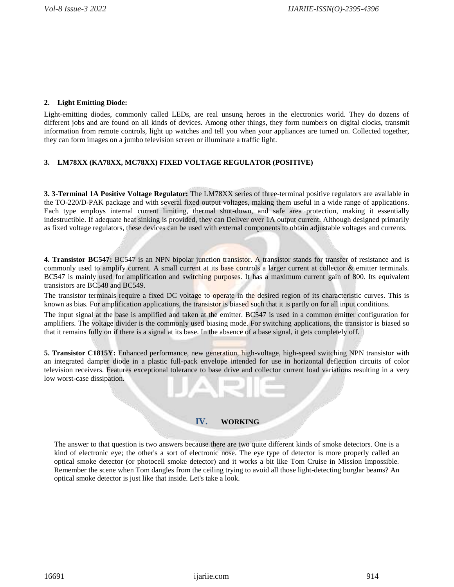## **2. Light Emitting Diode:**

Light-emitting diodes, commonly called LEDs, are real unsung heroes in the electronics world. They do dozens of different jobs and are found on all kinds of devices. Among other things, they form numbers on [digital clocks,](http://www.howstuffworks.com/digital-clock.htm) transmit information from [remote controls, l](http://electronics.howstuffworks.com/inside-rc.htm)ight up watches and tell you when your appliances are turned on. Collected together, they can form images on a [jumbo television screen o](http://electronics.howstuffworks.com/jumbo-tv2.htm)r [illuminate a traffic light.](http://www.howstuffworks.com/question178.htm)

# **3. LM78XX (KA78XX, MC78XX) FIXED VOLTAGE REGULATOR (POSITIVE)**

**3. 3-Terminal 1A Positive Voltage Regulator:** The LM78XX series of three-terminal positive regulators are available in the TO-220/D-PAK package and with several fixed output voltages, making them useful in a wide range of applications. Each type employs internal current limiting, thermal shut-down, and safe area protection, making it essentially indestructible. If adequate heat sinking is provided, they can Deliver over 1A output current. Although designed primarily as fixed voltage regulators, these devices can be used with external components to obtain adjustable voltages and currents.

**4. [Transistor BC547:](http://www.engineersgarage.com/electronic-components/transistor-bc547-datasheet)** BC547 is an NPN bipolar junction transistor. A transistor stands for transfer of resistance and is commonly used to amplify current. A small current at its base controls a larger current at collector & emitter terminals. BC547 is mainly used for amplification and switching purposes. It has a maximum current gain of 800. Its equivalent transistors are BC548 and BC549.

The transistor terminals require a fixed DC voltage to operate in the desired region of its characteristic curves. This is known as bias. For amplification applications, the transistor is biased such that it is partly on for all input conditions.

The input signal at the base is amplified and taken at the emitter. BC547 is used in a common emitter configuration for amplifiers. The voltage divider is the commonly used biasing mode. For switching applications, the transistor is biased so that it remains fully on if there is a signal at its base. In the absence of a base signal, it gets completely off.

**5. Transistor C1815Y:** Enhanced performance, new generation, high-voltage, high-speed switching NPN transistor with an integrated damper diode in a plastic full-pack envelope intended for use in horizontal deflection circuits of color television receivers. Features exceptional tolerance to base drive and collector current load variations resulting in a very low worst-case dissipation.

# **IV. WORKING**

The answer to that question is two answers because there are two quite different kinds of smoke detectors. One is a kind of [electronic e](http://www.explainthatstuff.com/electronics.html)ye; the other's a sort of electronic nose. The eye type of detector is more properly called an optical smoke detector (or photocell smoke detector) and it works a bit like Tom Cruise in Mission Impossible. Remember the scene when Tom dangles from the ceiling trying to avoid all those light-detecting burglar beams? An optical smoke detector is just like that inside. Let's take a look.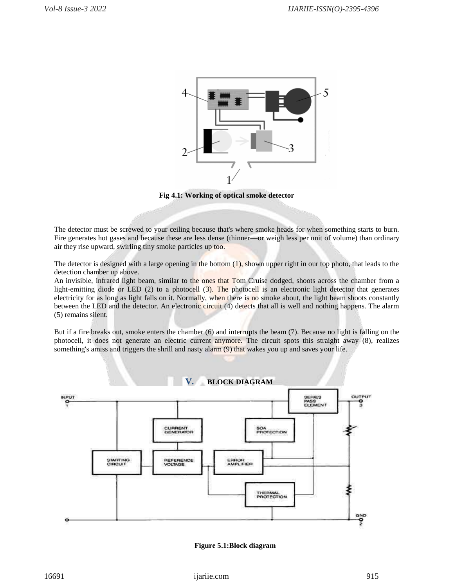

**Fig 4.1: Working of optical smoke detector**

The detector must be screwed to your ceiling because that's where smoke heads for when something starts to burn. Fire generates hot gases and because these are less dense (thinner—or weigh less per unit of volume) than ordinary air they rise upward, swirling tiny smoke particles up too.

The detector is designed with a large opening in the bottom (1), shown upper right in our top photo, that leads to the detection chamber up above.

An invisible, [infrared light b](http://www.explainthatstuff.com/electromagnetic-spectrum.html)eam, similar to the ones that Tom Cruise dodged, shoots across the chamber from a light-emitting diode or LED (2) to a [photocell \(](http://www.explainthatstuff.com/how-photoelectric-cells-work.html)3). The photocell is an electronic light detector that generates [electricity f](http://www.explainthatstuff.com/electricity.html)or as long as light falls on it. Normally, when there is no smoke about, the light beam shoots constantly between the LED and the detector. An electronic circuit (4) detects that all is well and nothing happens. The alarm (5) remains silent.

But if a fire breaks out, smoke enters the chamber (6) and interrupts the beam (7). Because no light is falling on the photocell, it does not generate an electric current anymore. The circuit spots this straight away (8), realizes something's amiss and triggers the shrill and nasty alarm (9) that wakes you up and saves your life.



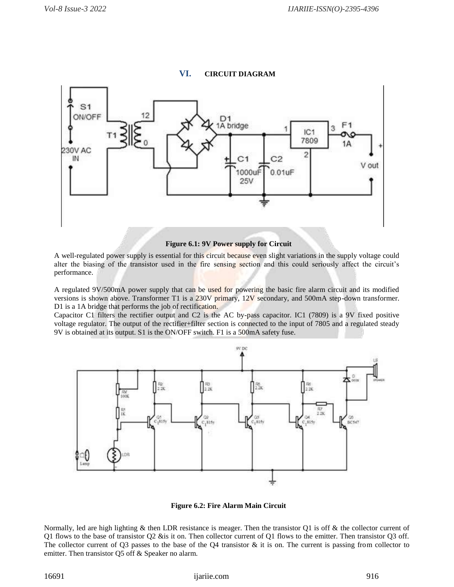# **VI. CIRCUIT DIAGRAM**



 **Figure 6.1: 9V Power supply for Circuit**

A well-regulated power supply is essential for this circuit because even slight variations in the supply voltage could alter the biasing of the transistor used in the fire sensing section and this could seriously affect the circuit's performance.

A regulated 9V/500mA power supply that can be used for powering the basic fire alarm circuit and its modified versions is shown above. Transformer T1 is a 230V primary, 12V secondary, and 500mA step-down transformer. D1 is a 1A bridge that performs the job of rectification.

Capacitor C1 filters the rectifier output and C2 is the AC by-pass capacitor. IC1 (7809) is a 9V fixed positive voltage regulator. The output of the rectifier+filter section is connected to the input of 7805 and a regulated steady 9V is obtained at its output. S1 is the ON/OFF switch. F1 is a 500mA safety fuse.



 **Figure 6.2: Fire Alarm Main Circuit**

Normally, led are high lighting  $\&$  then LDR resistance is meager. Then the transistor Q1 is off  $\&$  the collector current of Q1 flows to the base of transistor Q2 &is it on. Then collector current of Q1 flows to the emitter. Then transistor Q3 off. The collector current of Q3 passes to the base of the Q4 transistor  $\&$  it is on. The current is passing from collector to emitter. Then transistor Q5 off & Speaker no alarm.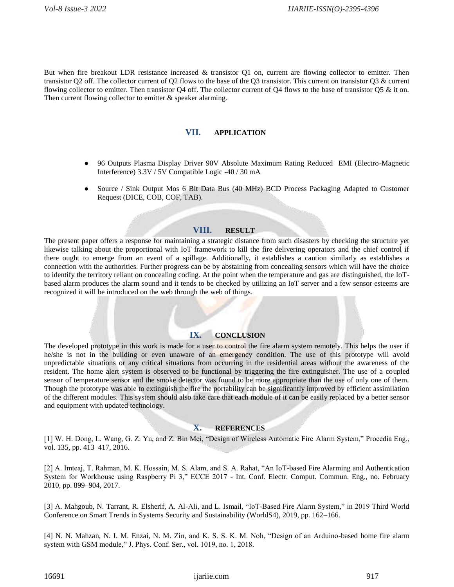But when fire breakout LDR resistance increased & transistor Q1 on, current are flowing collector to emitter. Then transistor Q2 off. The collector current of Q2 flows to the base of the Q3 transistor. This current on transistor Q3 & current flowing collector to emitter. Then transistor Q4 off. The collector current of Q4 flows to the base of transistor Q5  $\&$  it on. Then current flowing collector to emitter & speaker alarming.

#### **VII. APPLICATION**

- 96 Outputs Plasma Display Driver 90V Absolute Maximum Rating Reduced EMI (Electro-Magnetic Interference) 3.3V / 5V Compatible Logic -40 / 30 mA
- Source / Sink Output Mos 6 Bit Data Bus (40 MHz) BCD Process Packaging Adapted to Customer Request (DICE, COB, COF, TAB).

#### **VIII. RESULT**

The present paper offers a response for maintaining a strategic distance from such disasters by checking the structure yet likewise talking about the proportional with IoT framework to kill the fire delivering operators and the chief control if there ought to emerge from an event of a spillage. Additionally, it establishes a caution similarly as establishes a connection with the authorities. Further progress can be by abstaining from concealing sensors which will have the choice to identify the territory reliant on concealing coding. At the point when the temperature and gas are distinguished, the IoTbased alarm produces the alarm sound and it tends to be checked by utilizing an IoT server and a few sensor esteems are recognized it will be introduced on the web through the web of things.

## **IX. CONCLUSION**

The developed prototype in this work is made for a user to control the fire alarm system remotely. This helps the user if he/she is not in the building or even unaware of an emergency condition. The use of this prototype will avoid unpredictable situations or any critical situations from occurring in the residential areas without the awareness of the resident. The home alert system is observed to be functional by triggering the fire extinguisher. The use of a coupled sensor of temperature sensor and the smoke detector was found to be more appropriate than the use of only one of them. Though the prototype was able to extinguish the fire the portability can be significantly improved by efficient assimilation of the different modules. This system should also take care that each module of it can be easily replaced by a better sensor and equipment with updated technology.

#### **X. REFERENCES**

[1] W. H. Dong, L. Wang, G. Z. Yu, and Z. Bin Mei, "Design of Wireless Automatic Fire Alarm System," Procedia Eng., vol. 135, pp. 413–417, 2016.

[2] A. Imteaj, T. Rahman, M. K. Hossain, M. S. Alam, and S. A. Rahat, "An IoT-based Fire Alarming and Authentication System for Workhouse using Raspberry Pi 3," ECCE 2017 - Int. Conf. Electr. Comput. Commun. Eng., no. February 2010, pp. 899–904, 2017.

[3] A. Mahgoub, N. Tarrant, R. Elsherif, A. Al-Ali, and L. Ismail, "IoT-Based Fire Alarm System," in 2019 Third World Conference on Smart Trends in Systems Security and Sustainability (WorldS4), 2019, pp. 162–166.

[4] N. N. Mahzan, N. I. M. Enzai, N. M. Zin, and K. S. S. K. M. Noh, "Design of an Arduino-based home fire alarm system with GSM module," J. Phys. Conf. Ser., vol. 1019, no. 1, 2018.

16691 ijariie.com 917